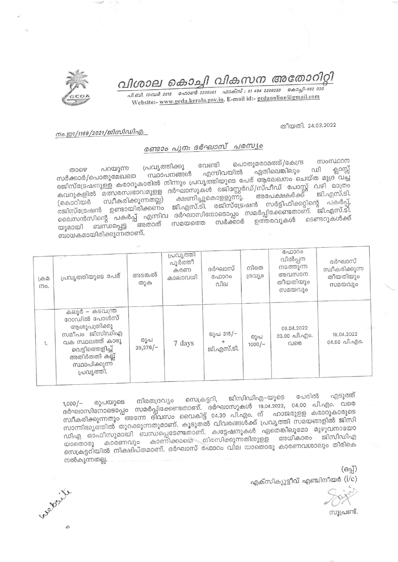വിശാല കൊച്ചി വികസന അതോറിറ്റി

. வி. வி. எனுக் 2012 - வேறளர் 2205061 - வருக்ஸ் : 91 484 2206230 - கெற்து 1-682 020 Website:- www.gcda.kerala.gov.in. E-mail id:- gcdaonline@gmail.com

## തീയതി. 24.03.2022

## നം.ഇ1/1169/2021/ജിസിഡിഎ.

## രണ്ടാം പുന: ദർഘാസ് പരസ്യം

പൊതുമരാമത്ത്/കേന്ദ്ര സംസ്ഥാന വേണ്ടി പ്രവൃത്തിക്കു പറയുന്ന താഴെ ഡി ക്ലാസ്സ് ഏതിലെങ്കിലും എന്നിവയിൽ സ്ഥാപനങ്ങൾ രജിസ്ട്രേഷനുള്ള കരാറുകാരിൽ നിന്നും പ്രവൃത്തിയുടെ പേര് ആലേഖനം ചെയ്ത മുദ്ര വച്ച കവറുകളിൽ മത്സരസ്വഭാവമുളള ദർഘാസുകൾ രജിസ്റ്റേർഡ്/സ്പീഡ് പോസ്റ്റ് വഴി മാത്രം അപേക്ഷകർക്ക് ക്ഷണിച്ചുകൊളളുന്നു. സ്വീകരിക്കുന്നതല്ല) രജിസ്ട്രേഷൻ ഉണ്ടായിരിക്കണം ജി.എസ്.ടി. രജിസ്ട്രേഷൻ സർട്ടിഫിക്കറ്റിന്റെ പകർപ്പ്, ലൈസൻസിന്റെ പകർപ്പ് എന്നിവ ദർഘാസിനോടൊപ്പം സമർപ്പിക്കേണ്ടതാണ്. ജി.എസ്.ടി. ഉത്തരവുകൾ സർക്കാർ ്അതാത് സമയത്തെ ബന്ധപ്പെട്ട യുമായി ബാധകമായിരിക്കുന്നതാണ്.

| டு இ<br>mo. | പ്രവൃത്തിയുടെ പേര്                                                                                                                                      | അടങ്കൽ<br>തുക     | പ്രവൃത്തി<br>പൂർത്തീ<br>കരണ<br>കാലാവധി | ദർഘാസ്<br>ഫോറം<br>വില   | നിരത<br>ദ്രഗ്യാ | ഫോറം<br>വിൽപ്പന<br>നടത്തുന്ന<br>അവസാന<br>തീയതിയും<br>സമയവും | ദർഘാസ്<br>സ്വീകരിക്കുന്ന<br>തീയതിയും<br>സമയവും |
|-------------|---------------------------------------------------------------------------------------------------------------------------------------------------------|-------------------|----------------------------------------|-------------------------|-----------------|-------------------------------------------------------------|------------------------------------------------|
| 1.          | കലൂർ – കടവന്ത്ര<br>റോഡിൽ പോൾസ്<br>ആശുപത്രിക്കു<br>സമീപം ജിസിഡിഎ<br>വക സ്ഥലത്ത് കാടു<br>വെട്ടിത്തെളിച്ച്<br>അതിർതതി കല്ല്<br>സ്ഥാപിക്കുന്ന<br>പ്രവൃത്തി. | രൂപ<br>$39,276/-$ | 7 days                                 | രൂപ 315/-<br>ജി.എസ്.ടി. | രൂപ<br>$1000/-$ | 08.04.2022<br>03.00 வி.வு)0.<br>വരെ                         | 19,04.2022<br>04.00 പി.എം.                     |

പേരിൽ എടുത്ത് ജിസിഡിഎ–യുടെ സെക്രട്ടറി, നിരതദ്രവ്യം ദർഘാസിനോടൊപ്പം സമർപ്പിക്കേണ്ടതാണ്. ദർഘാസുകൾ 19.04.2022, 04.00 പി.എം. വരെ രൂപയുടെ സാന്നിദ്ധ്യത്തിൽ തുറക്കുന്നതുമാണ്. കൂടുതൽ വിവരങ്ങൾക്ക് പ്രവൃത്തി സമയങ്ങളിൽ ജിസി ഡിഎ ഓഫീസുമായി ബന്ധപ്പെടേണ്ടതാണ്. ക്വട്ടേഷനുകൾ ഏതെങ്കിലുമോ മുഴുവനായോ സെക്രട്ടറിയിൽ നിക്ഷിപ്തമാണ്. ദർഘാസ് ഫോറം വില യാതൊരു കാരണവശാലും തിരികെ നൽകുന്നതല്ല.

> $(6a)$ എക്സിക്യൂട്ടീവ് എഞ്ചിനീയർ  $(\mathrm{i}/\mathrm{c})$

സുപ്രണ്ട്.